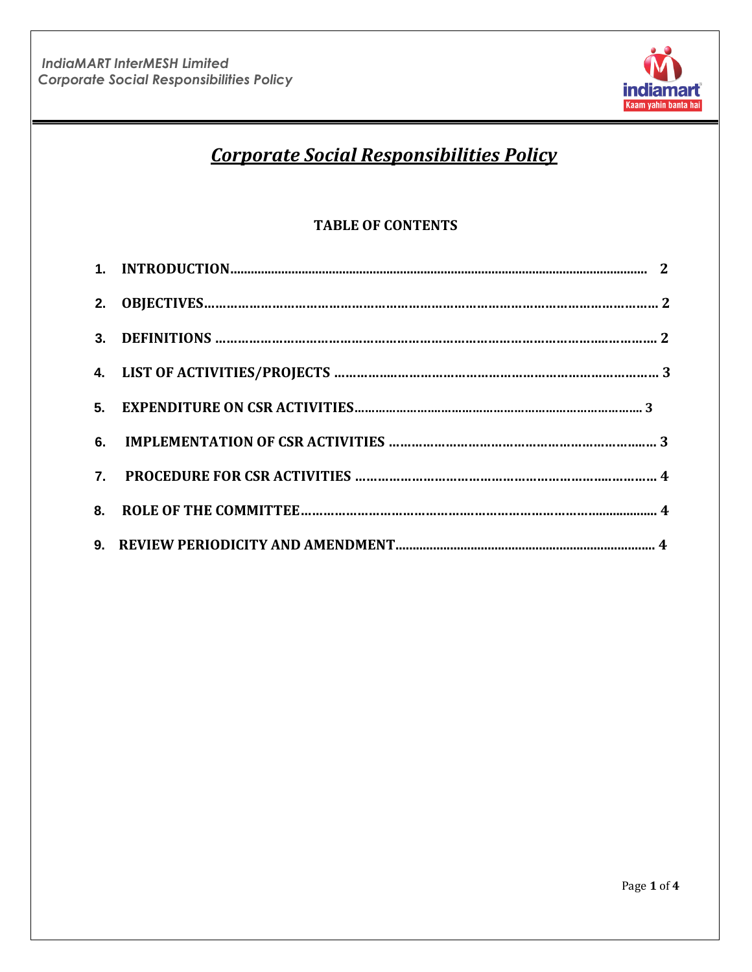

# *Corporate Social Responsibilities Policy*

# **TABLE OF CONTENTS**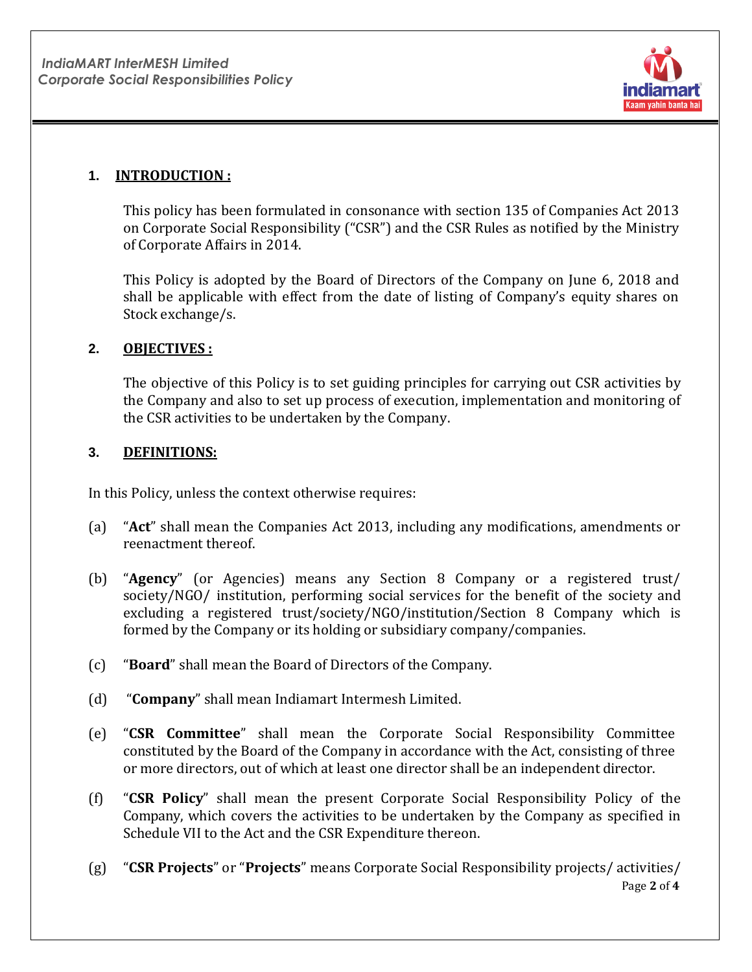

# **1. INTRODUCTION :**

This policy has been formulated in consonance with section 135 of Companies Act 2013 on Corporate Social Responsibility ("CSR") and the CSR Rules as notified by the Ministry of Corporate Affairs in 2014.

This Policy is adopted by the Board of Directors of the Company on June 6, 2018 and shall be applicable with effect from the date of listing of Company's equity shares on Stock exchange/s.

## **2. OBJECTIVES :**

The objective of this Policy is to set guiding principles for carrying out CSR activities by the Company and also to set up process of execution, implementation and monitoring of the CSR activities to be undertaken by the Company.

## **3. DEFINITIONS:**

In this Policy, unless the context otherwise requires:

- (a) "**Act**" shall mean the Companies Act 2013, including any modifications, amendments or reenactment thereof.
- (b) "**Agency**" (or Agencies) means any Section 8 Company or a registered trust/ society/NGO/ institution, performing social services for the benefit of the society and excluding a registered trust/society/NGO/institution/Section 8 Company which is formed by the Company or its holding or subsidiary company/companies.
- (c) "**Board**" shall mean the Board of Directors of the Company.
- (d) "**Company**" shall mean Indiamart Intermesh Limited.
- (e) "**CSR Committee**" shall mean the Corporate Social Responsibility Committee constituted by the Board of the Company in accordance with the Act, consisting of three or more directors, out of which at least one director shall be an independent director.
- (f) "**CSR Policy**" shall mean the present Corporate Social Responsibility Policy of the Company, which covers the activities to be undertaken by the Company as specified in Schedule VII to the Act and the CSR Expenditure thereon.
- Page **2** of **4** (g) "**CSR Projects**" or "**Projects**" means Corporate Social Responsibility projects/ activities/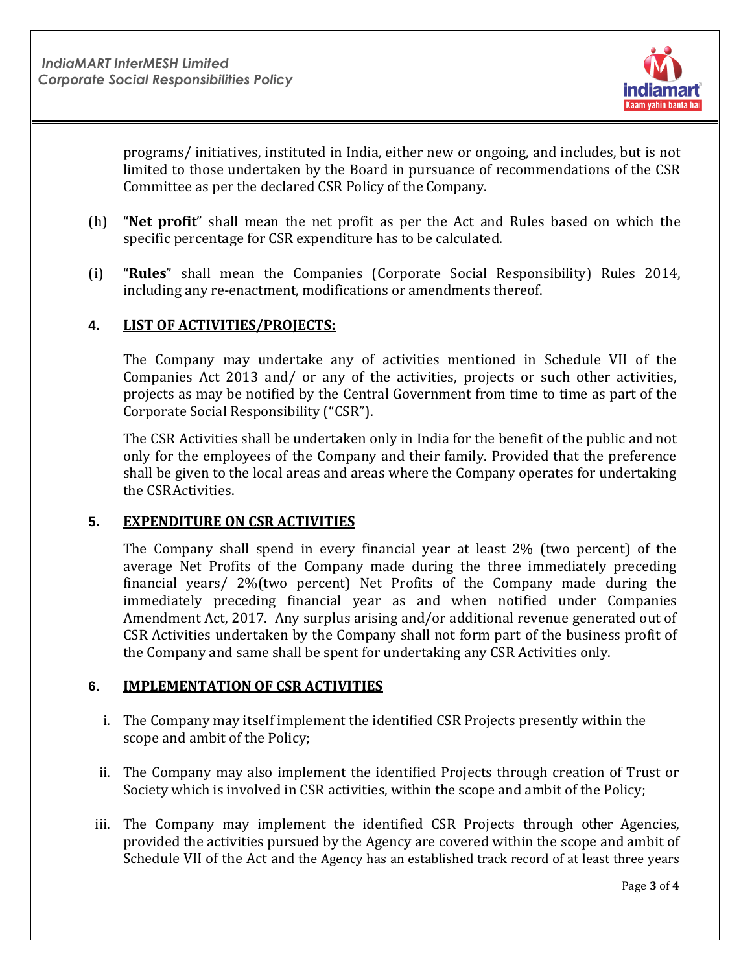

programs/ initiatives, instituted in India, either new or ongoing, and includes, but is not limited to those undertaken by the Board in pursuance of recommendations of the CSR Committee as per the declared CSR Policy of the Company.

- (h) "**Net profit**" shall mean the net profit as per the Act and Rules based on which the specific percentage for CSR expenditure has to be calculated.
- (i) "**Rules**" shall mean the Companies (Corporate Social Responsibility) Rules 2014, including any re-enactment, modifications or amendments thereof.

## **4. LIST OF ACTIVITIES/PROJECTS:**

The Company may undertake any of activities mentioned in Schedule VII of the Companies Act 2013 and/ or any of the activities, projects or such other activities, projects as may be notified by the Central Government from time to time as part of the Corporate Social Responsibility ("CSR").

The CSR Activities shall be undertaken only in India for the benefit of the public and not only for the employees of the Company and their family. Provided that the preference shall be given to the local areas and areas where the Company operates for undertaking the CSRActivities.

### **5. EXPENDITURE ON CSR ACTIVITIES**

The Company shall spend in every financial year at least 2% (two percent) of the average Net Profits of the Company made during the three immediately preceding financial years/ 2%(two percent) Net Profits of the Company made during the immediately preceding financial year as and when notified under Companies Amendment Act, 2017. Any surplus arising and/or additional revenue generated out of CSR Activities undertaken by the Company shall not form part of the business profit of the Company and same shall be spent for undertaking any CSR Activities only.

### **6. IMPLEMENTATION OF CSR ACTIVITIES**

- i. The Company may itself implement the identified CSR Projects presently within the scope and ambit of the Policy;
- ii. The Company may also implement the identified Projects through creation of Trust or Society which is involved in CSR activities, within the scope and ambit of the Policy;
- iii. The Company may implement the identified CSR Projects through other Agencies, provided the activities pursued by the Agency are covered within the scope and ambit of Schedule VII of the Act and the Agency has an established track record of at least three years